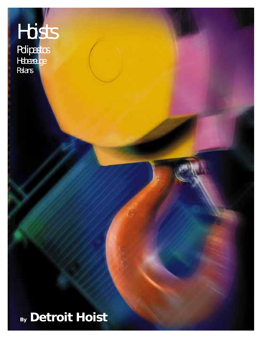# Hoists

**Polipastos Hebezeuge** Palans

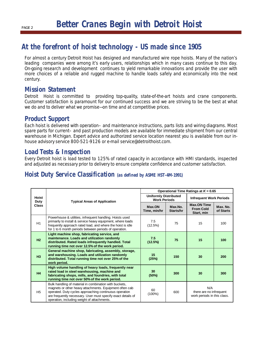# **At the forefront of hoist technology - US made since 1905**

For almost a century Detroit Hoist has designed and manufactured wire rope hoists. Many of the nation's leading companies were among it's early users, relationships which in many cases continue to this day. On-going research and development continues to yield remarkable innovations and provide the user with more choices of a reliable and rugged machine to handle loads safely and economically into the next century.

# **Mission Statement**

Detroit Hoist is committed to providing top-quality, state-of-the-art hoists and crane components. Customer satisfaction is paramount for our continued success and we are striving to be the best at what we do and to deliver what we promise—on time and at competitive prices.

# **Product Support**

Each hoist is delivered with operation– and maintenance instructions, parts lists and wiring diagrams. Most spare parts for current– and past production models are available for immediate shipment from our central warehouse in Michigan. Expert advice and authorized service location nearest you is available from our inhouse advisory service 800-521-9126 or e-mail service@detroithoist.com.

# **Load Tests & Inspection**

Every Detroit hoist is load tested to 125% of rated capacity in accordance with HMI standards, inspected and adjusted as necessary prior to delivery to ensure complete confidence and customer satisfaction.

# **Hoist Duty Service Classification (as defined by ASME HST-4M-1991)**

| <b>Hoist</b><br>Duty<br><b>Class</b> |                                                                                                                                                                                                                                                                                            | Operational Time Ratings at $K = 0.65$              |                      |                                                               |                       |  |  |  |  |  |
|--------------------------------------|--------------------------------------------------------------------------------------------------------------------------------------------------------------------------------------------------------------------------------------------------------------------------------------------|-----------------------------------------------------|----------------------|---------------------------------------------------------------|-----------------------|--|--|--|--|--|
|                                      | <b>Typical Areas of Application</b>                                                                                                                                                                                                                                                        | <b>Uniformly Distributed</b><br><b>Work Periods</b> |                      | <b>Infrequent Work Periods</b>                                |                       |  |  |  |  |  |
|                                      |                                                                                                                                                                                                                                                                                            | Max.ON<br>Time, min/hr                              | Max.No.<br>Starts/hr | <b>Max.ON Time</b><br><b>From Cold</b><br>Start, min          | Max. No.<br>of Starts |  |  |  |  |  |
| H1                                   | Powerhouse & utilities, infrequent handling. Hoists used<br>primarily to install & service heavy equipment, where loads<br>frequently approach rated load, and where the hoist is idle<br>for 1 to 6 month periods between periods of operation.                                           | 7.5<br>(12.5%)                                      | 75                   | 15                                                            | 100                   |  |  |  |  |  |
| H2                                   | Light machine shop, fabricating service, and<br>maintenance. Loads and utilization randomly<br>distributed. Rated loads infrequently handled. Total<br>running time not over 12.5% of the work period.                                                                                     | 7.5<br>(12.5%)                                      | 75                   | 15                                                            | 100                   |  |  |  |  |  |
| H3                                   | General machine shop, fabricating, assembly, storage,<br>and warehousing. Loads and utilization randomly<br>distributed. Total running time not over 25% of the<br>work period.                                                                                                            | 15 <sub>1</sub><br>(25%)                            | 150                  | 30                                                            | 200                   |  |  |  |  |  |
| H4                                   | High volume handling of heavy loads, frequently near<br>rated load in steel warehousing, machine and<br>fabricating shops, mills, and foundries, with total<br>running time not over 50% of the work period.                                                                               | 30<br>(50%)                                         | 300                  | 30                                                            | 300                   |  |  |  |  |  |
| H <sub>5</sub>                       | Bulk handling of material in combination with buckets,<br>magnets or other heavy attachments. Equipment often cab<br>operated. Duty cycles approaching continuous operation<br>are frequently necessary. User must specify exact details of<br>operation, including weight of attachments. | 60<br>$(100\%)$                                     | 600                  | N/A<br>there are no infrequent<br>work periods in this class. |                       |  |  |  |  |  |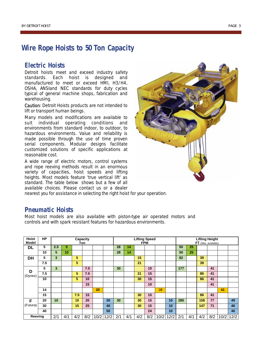# **Wire Rope Hoists to 50 Ton Capacity**

# **Electric Hoists**

Detroit hoists meet and exceed industry safety standards. Each hoist is designed and manufactured to meet or exceed HMI, H3/H4, OSHA, ANSIand NEC standards for duty cycles typical of general machine shops, fabrication and warehousing.

Caution: Detroit Hoists products are not intended to lift or transport human beings.

Many models and modifications are available to suit individual operating conditions and environments from standard indoor, to outdoor, to hazardous environments. Value and reliability is made possible through the use of time proven serial components. Modular designs facilitate customized solutions of specific applications at reasonable cost.

A wide range of electric motors, control systems and rope reeving methods result in an enormous variety of capacities, hoist speeds and lifting heights. Most models feature 'true vertical lift' as standard. The table below shows but a few of all available choices. Please contact us or a dealer



nearest you for assistance in selecting the right hoist for your operation.

## **Pneumatic Hoists**

Most hoist models are also available with piston-type air operated motors and controls and with spark resistant features for hazardous environments.

| <b>Hoist</b><br>Model | <b>HP</b> | Capacity<br>Ton |     |     |     |      |      | <b>Lifting Speed</b><br><b>FPM</b> |     |     |     |      |      | <b>Lifting Height</b><br>FT (Max. available) |     |     |     |      |      |
|-----------------------|-----------|-----------------|-----|-----|-----|------|------|------------------------------------|-----|-----|-----|------|------|----------------------------------------------|-----|-----|-----|------|------|
| DL                    | 5         | 2.5             | 5   |     |     |      |      | 28                                 | 14  |     |     |      |      | 50                                           | 25  |     |     |      |      |
|                       | 10        | 5               | 10  |     |     |      |      | 28                                 | 14  |     |     |      |      | 50                                           | 25  |     |     |      |      |
| <b>DH</b>             | 5         | 3               |     | 5   |     |      |      |                                    |     | 15  |     |      |      | 82                                           |     | 39  |     |      |      |
|                       | 7.5       |                 |     | 5   |     |      |      |                                    |     | 21  |     |      |      |                                              |     | 39  |     |      |      |
| D<br>(Dynex)          | 5         | 3               |     |     | 7.5 |      |      | 30                                 |     |     | 10  |      |      | 177                                          |     |     | 41  |      |      |
|                       | 7.5       |                 |     | 5   | 7.5 |      |      |                                    |     | 21  | 15  |      |      |                                              |     | 86  | 41  |      |      |
|                       | 10        |                 |     | 5   | 10  |      |      |                                    |     | 30  | 15  |      |      |                                              |     | 86  | 41  |      |      |
|                       |           |                 |     |     | 15  |      |      |                                    |     |     | 10  |      |      |                                              |     |     | 41  |      |      |
|                       | 14        |                 |     |     |     | 20   |      |                                    |     |     |     | 10   |      |                                              |     |     |     | 41   |      |
|                       | 15        |                 |     | 7.5 | 15  |      |      |                                    |     | 30  | 15  |      |      |                                              |     | 86  | 41  |      |      |
| F<br>(Futura)         | 20        | 10              |     | 10  | 20  |      | 30   | 30                                 |     | 30  | 15  |      | 10   | 280                                          |     | 158 | 77  |      | 49   |
|                       | 30        |                 |     | 15  | 25  |      | 40   |                                    |     | 30  | 15  |      | 10   |                                              |     | 147 | 71  |      | 46   |
|                       | 40        |                 |     |     |     |      | 50   |                                    |     |     | 24  |      | 10   |                                              |     |     |     |      | 40   |
| Reeving               |           | 2/1             | 4/1 | 4/2 | 8/2 | 10/2 | 12/2 | 2/1                                | 4/1 | 4/2 | 8/2 | 10/2 | 12/2 | 2/1                                          | 4/1 | 4/2 | 8/2 | 10/2 | 12/2 |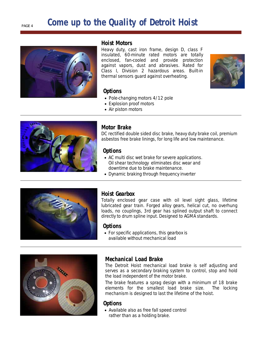# **Come up to the Quality of Detroit Hoist**



#### **Hoist Motors**

Heavy duty, cast iron frame, design D, class F insulated, 60-minute rated motors are totally enclosed, fan-cooled and provide protection against vapors, dust and abrasives. Rated for Class I, Division 2 hazardous areas. Built-in thermal sensors guard against overheating.



#### **Options**

- Pole-changing motors 4/12 pole
- Explosion proof motors
- Air piston motors



#### **Motor Brake**

DC rectified double sided disc brake, heavy duty brake coil, premium asbestos free brake linings, for long life and low maintenance.

#### **Options**

- AC multi disc wet brake for severe applications. Oil shear technology eliminates disc wear and downtime due to brake maintenance.
- Dynamic braking through frequency inverter



#### **Hoist Gearbox**

Totally enclosed gear case with oil level sight glass, lifetime lubricated gear train. Forged alloy gears, helical cut, no overhung loads, no couplings, 3rd gear has splined output shaft to connect directly to drum spline input. Designed to AGMA standards.

#### **Options**

• For specific applications, this gearbox is available without mechanical load



## **Mechanical Load Brake**

The Detroit Hoist mechanical load brake is self adjusting and serves as a secondary braking system to control, stop and hold the load independent of the motor brake.

The brake features a sprag design with a minimum of 18 brake elements for the smallest load brake size. The locking mechanism is designed to last the lifetime of the hoist.

#### **Options**

• Available also as free fall speed control rather than as a holding brake.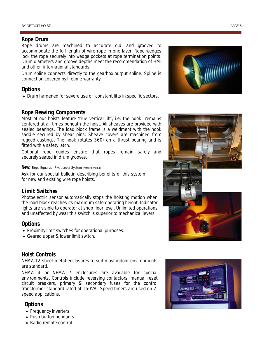#### **Rope Drum**

Rope drums are machined to accurate o.d. and grooved to accommodate the full length of wire rope in one layer. Rope wedges lock the rope securely into wedge pockets at rope termination points. Drum diameters and groove depths meet the recommendation of HMI and other international standards.

Drum spline connects directly to the gearbox output spline. Spline is connection covered by lifetime warranty.

#### **Options**

• Drum hardened for severe use or constant lifts in specific sectors.



Most of our hoists feature 'true vertical lift', i.e. the hook remains centered at all times beneath the hoist. All sheaves are provided with sealed bearings. The load block frame is a weldment with the hook saddle secured by shear pins. Sheave covers are machined from rugged castings. The hook rotates 360º on a thrust bearing and is fitted with a safety latch.

Optional rope guides ensure that ropes remain safely and securely seated in drum grooves.

#### **New:** Rope Equalizer Pivot Lever System (Patent pending)

Ask for our special bulletin describing benefits of this system for new and existing wire rope hoists.

#### **Limit Switches**

Photoelectric sensor automatically stops the hoisting motion when the load block reaches its maximum safe operating height. Indicator lights are visible to operator at shop floor level. Unlimited operations and unaffected by wear this switch is superior to mechanical levers.

#### **Options**

- Proximity limit switches for operational purposes.
- Geared upper & lower limit switch.

#### **Hoist Controls**

NEMA 12 sheet metal enclosures to suit most indoor environments are standard.

NEMA 4 or NEMA 7 enclosures are available for special environments. Controls include reversing contactors, manual reset circuit breakers, primary & secondary fuses for the control transformer standard rated at 150VA. Speed timers are used on 2 speed applications.

#### **Options**

- Frequency inverters
- Push button pendants
- Radio remote control





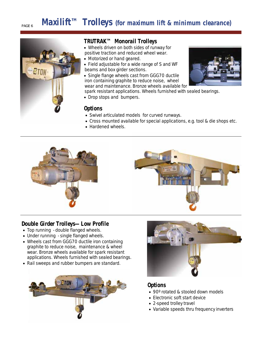# **Maxilift<sup>TM</sup> Trolleys** (for maximum lift & minimum clearance)



### **TRUTRAK™ Monorail Trolleys**

- Wheels driven on both sides of runway for positive traction and reduced wheel wear.
- Motorized or hand geared.
- Field adjustable for a wide range of S and WF beams and box girder sections.
- Single flange wheels cast from GGG70 ductile iron containing graphite to reduce noise, wheel wear and maintenance. Bronze wheels available for
- spark resistant applications. Wheels furnished with sealed bearings.
- Drop stops and bumpers.

#### **Options**

- Swivel articulated models for curved runways.
- Cross mounted available for special applications, e.g. tool & die shops etc.
- Hardened wheels.





## **Double Girder Trolleys—Low Profile**

- Top running double flanged wheels.
- Under running single flanged wheels.
- Wheels cast from GGG70 ductile iron containing graphite to reduce noise, maintenance & wheel wear. Bronze wheels available for spark resistant applications. Wheels furnished with sealed bearings.
- Rail sweeps and rubber bumpers are standard.





## **Options**

- 90° rotated & stooled down models
- Electronic soft start device
- 2-speed trolley travel
- Variable speeds thru frequency inverters